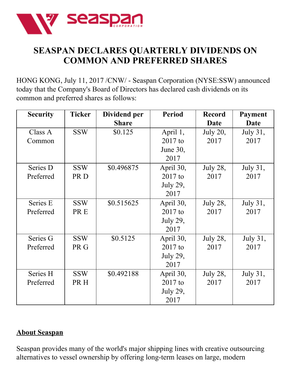

## **SEASPAN DECLARES QUARTERLY DIVIDENDS ON COMMON AND PREFERRED SHARES**

HONG KONG, July 11, 2017 /CNW/ - Seaspan Corporation (NYSE:SSW) announced today that the Company's Board of Directors has declared cash dividends on its common and preferred shares as follows:

| <b>Security</b> | <b>Ticker</b> | Dividend per | <b>Period</b>   | <b>Record</b>   | Payment         |
|-----------------|---------------|--------------|-----------------|-----------------|-----------------|
|                 |               | <b>Share</b> |                 | Date            | Date            |
| Class A         | <b>SSW</b>    | \$0.125      | April 1,        | <b>July 20,</b> | July 31,        |
| Common          |               |              | $2017$ to       | 2017            | 2017            |
|                 |               |              | June 30,        |                 |                 |
|                 |               |              | 2017            |                 |                 |
| Series D        | <b>SSW</b>    | \$0.496875   | April 30,       | <b>July 28,</b> | <b>July 31,</b> |
| Preferred       | PR D          |              | $2017$ to       | 2017            | 2017            |
|                 |               |              | <b>July 29,</b> |                 |                 |
|                 |               |              | 2017            |                 |                 |
| Series E        | <b>SSW</b>    | \$0.515625   | April 30,       | <b>July 28,</b> | July 31,        |
| Preferred       | PR E          |              | $2017$ to       | 2017            | 2017            |
|                 |               |              | July 29,        |                 |                 |
|                 |               |              | 2017            |                 |                 |
| Series G        | <b>SSW</b>    | \$0.5125     | April 30,       | <b>July 28,</b> | July 31,        |
| Preferred       | PR G          |              | $2017$ to       | 2017            | 2017            |
|                 |               |              | July 29,        |                 |                 |
|                 |               |              | 2017            |                 |                 |
| Series H        | <b>SSW</b>    | \$0.492188   | April 30,       | <b>July 28,</b> | July 31,        |
| Preferred       | PR H          |              | $2017$ to       | 2017            | 2017            |
|                 |               |              | July 29,        |                 |                 |
|                 |               |              | 2017            |                 |                 |

## **About Seaspan**

Seaspan provides many of the world's major shipping lines with creative outsourcing alternatives to vessel ownership by offering long-term leases on large, modern